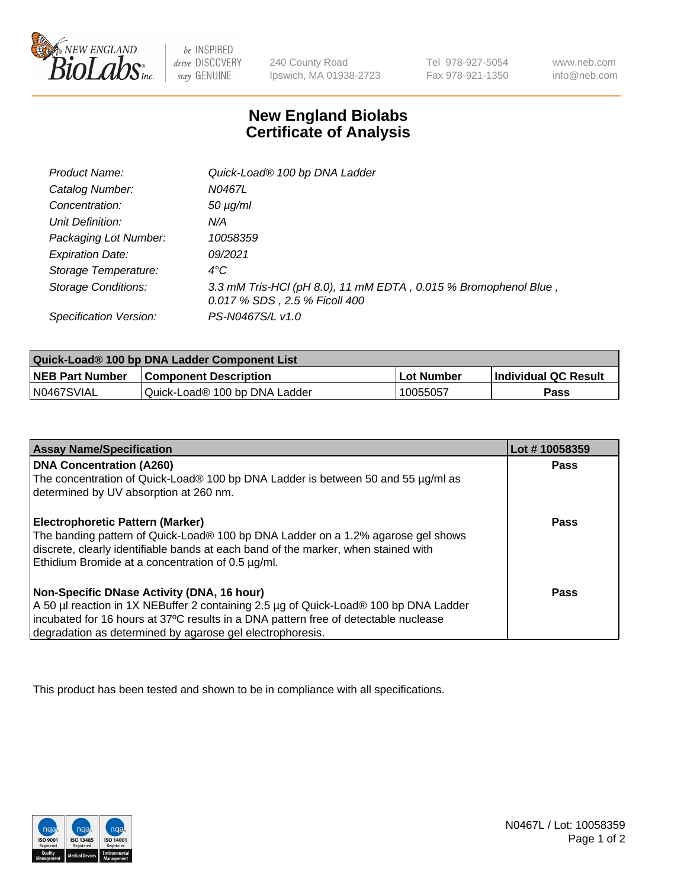

 $be$  INSPIRED drive DISCOVERY stay GENUINE

240 County Road Ipswich, MA 01938-2723 Tel 978-927-5054 Fax 978-921-1350 www.neb.com info@neb.com

## **New England Biolabs Certificate of Analysis**

| Product Name:              | Quick-Load® 100 bp DNA Ladder                                                                    |
|----------------------------|--------------------------------------------------------------------------------------------------|
| Catalog Number:            | N0467L                                                                                           |
| Concentration:             | <i>50 µg/ml</i>                                                                                  |
| Unit Definition:           | N/A                                                                                              |
| Packaging Lot Number:      | 10058359                                                                                         |
| <b>Expiration Date:</b>    | 09/2021                                                                                          |
| Storage Temperature:       | $4^{\circ}$ C                                                                                    |
| <b>Storage Conditions:</b> | 3.3 mM Tris-HCl (pH 8.0), 11 mM EDTA, 0.015 % Bromophenol Blue,<br>0.017 % SDS, 2.5 % Ficoll 400 |
| Specification Version:     | PS-N0467S/L v1.0                                                                                 |

| Quick-Load® 100 bp DNA Ladder Component List |                               |             |                             |  |
|----------------------------------------------|-------------------------------|-------------|-----------------------------|--|
| <b>NEB Part Number</b>                       | <b>Component Description</b>  | ⊥Lot Number | <b>Individual QC Result</b> |  |
| N0467SVIAL                                   | Quick-Load® 100 bp DNA Ladder | 10055057    | Pass                        |  |

| <b>Assay Name/Specification</b>                                                                                                                                        | Lot #10058359 |
|------------------------------------------------------------------------------------------------------------------------------------------------------------------------|---------------|
| <b>DNA Concentration (A260)</b>                                                                                                                                        | <b>Pass</b>   |
| The concentration of Quick-Load® 100 bp DNA Ladder is between 50 and 55 µg/ml as<br>determined by UV absorption at 260 nm.                                             |               |
| <b>Electrophoretic Pattern (Marker)</b>                                                                                                                                | Pass          |
| The banding pattern of Quick-Load® 100 bp DNA Ladder on a 1.2% agarose gel shows<br>discrete, clearly identifiable bands at each band of the marker, when stained with |               |
| Ethidium Bromide at a concentration of 0.5 µg/ml.                                                                                                                      |               |
| Non-Specific DNase Activity (DNA, 16 hour)                                                                                                                             | Pass          |
| A 50 µl reaction in 1X NEBuffer 2 containing 2.5 µg of Quick-Load® 100 bp DNA Ladder                                                                                   |               |
| incubated for 16 hours at 37°C results in a DNA pattern free of detectable nuclease                                                                                    |               |
| degradation as determined by agarose gel electrophoresis.                                                                                                              |               |

This product has been tested and shown to be in compliance with all specifications.